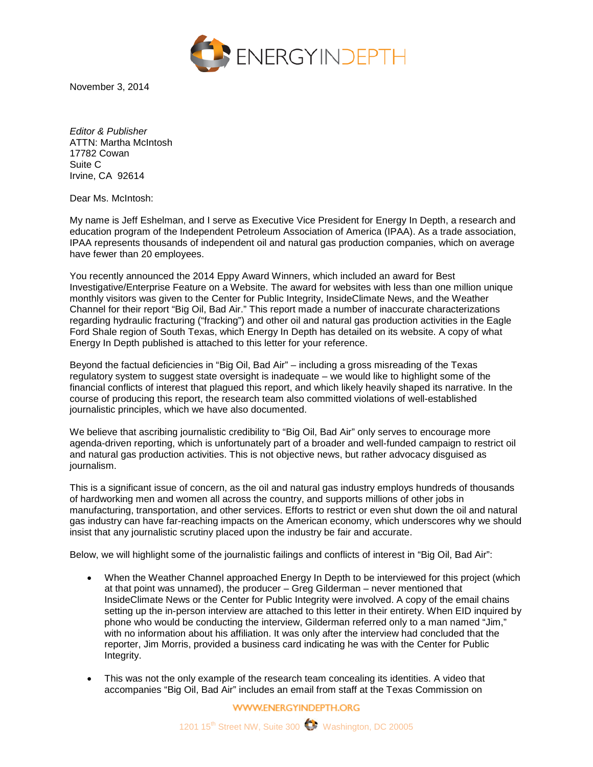

November 3, 2014

*Editor & Publisher* ATTN: Martha McIntosh 17782 Cowan Suite C Irvine, CA 92614

Dear Ms. McIntosh:

My name is Jeff Eshelman, and I serve as Executive Vice President for Energy In Depth, a research and education program of the Independent Petroleum Association of America (IPAA). As a trade association, IPAA represents thousands of independent oil and natural gas production companies, which on average have fewer than 20 employees.

You recently announced the 2014 Eppy Award Winners, which included an award for Best Investigative/Enterprise Feature on a Website. The award for websites with less than one million unique monthly visitors was given to the Center for Public Integrity, InsideClimate News, and the Weather Channel for their report "Big Oil, Bad Air." This report made a number of inaccurate characterizations regarding hydraulic fracturing ("fracking") and other oil and natural gas production activities in the Eagle Ford Shale region of South Texas, which Energy In Depth has detailed on its website. A copy of what Energy In Depth published is attached to this letter for your reference.

Beyond the factual deficiencies in "Big Oil, Bad Air" – including a gross misreading of the Texas regulatory system to suggest state oversight is inadequate – we would like to highlight some of the financial conflicts of interest that plagued this report, and which likely heavily shaped its narrative. In the course of producing this report, the research team also committed violations of well-established journalistic principles, which we have also documented.

We believe that ascribing journalistic credibility to "Big Oil, Bad Air" only serves to encourage more agenda-driven reporting, which is unfortunately part of a broader and well-funded campaign to restrict oil and natural gas production activities. This is not objective news, but rather advocacy disguised as journalism.

This is a significant issue of concern, as the oil and natural gas industry employs hundreds of thousands of hardworking men and women all across the country, and supports millions of other jobs in manufacturing, transportation, and other services. Efforts to restrict or even shut down the oil and natural gas industry can have far-reaching impacts on the American economy, which underscores why we should insist that any journalistic scrutiny placed upon the industry be fair and accurate.

Below, we will highlight some of the journalistic failings and conflicts of interest in "Big Oil, Bad Air":

- When the Weather Channel approached Energy In Depth to be interviewed for this project (which at that point was unnamed), the producer – Greg Gilderman – never mentioned that InsideClimate News or the Center for Public Integrity were involved. A copy of the email chains setting up the in-person interview are attached to this letter in their entirety. When EID inquired by phone who would be conducting the interview, Gilderman referred only to a man named "Jim," with no information about his affiliation. It was only after the interview had concluded that the reporter, Jim Morris, provided a business card indicating he was with the Center for Public Integrity.
- This was not the only example of the research team concealing its identities. A video that accompanies "Big Oil, Bad Air" includes an email from staff at the Texas Commission on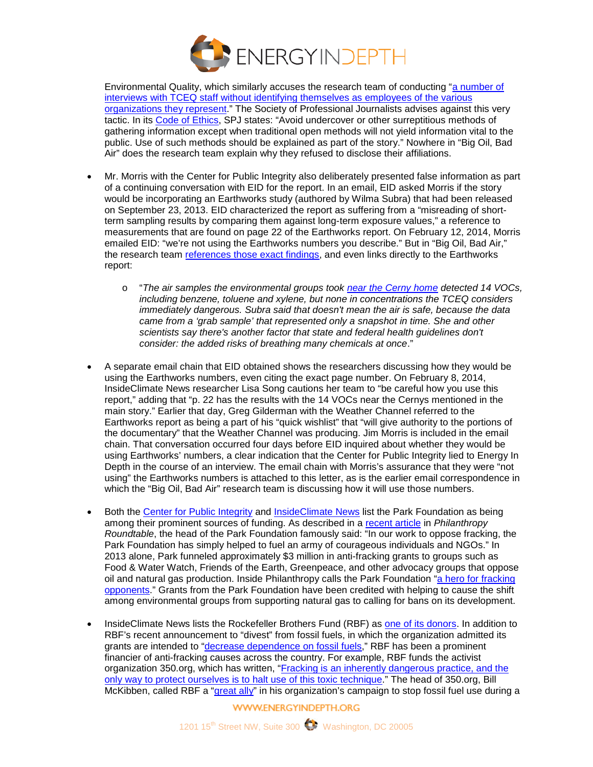

Environmental Quality, which similarly accuses the research team of conducting ["a number of](http://stories.weather.com/fracking)  interviews with TCEQ staff without identifying themselves as employees of the various [organizations they represent.](http://stories.weather.com/fracking)" The Society of Professional Journalists advises against this very tactic. In its [Code of Ethics,](http://www.spj.org/ethicscode.asp) SPJ states: "Avoid undercover or other surreptitious methods of gathering information except when traditional open methods will not yield information vital to the public. Use of such methods should be explained as part of the story." Nowhere in "Big Oil, Bad Air" does the research team explain why they refused to disclose their affiliations.

- Mr. Morris with the Center for Public Integrity also deliberately presented false information as part of a continuing conversation with EID for the report. In an email, EID asked Morris if the story would be incorporating an Earthworks study (authored by Wilma Subra) that had been released on September 23, 2013. EID characterized the report as suffering from a "misreading of shortterm sampling results by comparing them against long-term exposure values," a reference to measurements that are found on page 22 of the Earthworks report. On February 12, 2014, Morris emailed EID: "we're not using the Earthworks numbers you describe." But in "Big Oil, Bad Air," the research team [references those exact findings,](http://insideclimatenews.org/news/20140218/fracking-boom-spews-toxic-air-emissions-texas-residents) and even links directly to the Earthworks report:
	- o "*The air samples the environmental groups took [near the Cerny home](http://www.earthworksaction.org/library/detail/reckless_endangerment_in_the_eagle_ford_shale#.Uv09PF5DHIM) detected 14 VOCs, including benzene, toluene and xylene, but none in concentrations the TCEQ considers immediately dangerous. Subra said that doesn't mean the air is safe, because the data came from a 'grab sample' that represented only a snapshot in time. She and other scientists say there's another factor that state and federal health guidelines don't consider: the added risks of breathing many chemicals at once*."
- A separate email chain that EID obtained shows the researchers discussing how they would be using the Earthworks numbers, even citing the exact page number. On February 8, 2014, InsideClimate News researcher Lisa Song cautions her team to "be careful how you use this report," adding that "p. 22 has the results with the 14 VOCs near the Cernys mentioned in the main story." Earlier that day, Greg Gilderman with the Weather Channel referred to the Earthworks report as being a part of his "quick wishlist" that "will give authority to the portions of the documentary" that the Weather Channel was producing. Jim Morris is included in the email chain. That conversation occurred four days before EID inquired about whether they would be using Earthworks' numbers, a clear indication that the Center for Public Integrity lied to Energy In Depth in the course of an interview. The email chain with Morris's assurance that they were "not using" the Earthworks numbers is attached to this letter, as is the earlier email correspondence in which the "Big Oil, Bad Air" research team is discussing how it will use those numbers.
- Both the [Center for Public Integrity](http://www.publicintegrity.org/about/our-work/supporters) and [InsideClimate News](http://insideclimatenews.org/about/our-funders) list the Park Foundation as being among their prominent sources of funding. As described in a [recent article](http://www.philanthropyroundtable.org/topic/excellence_in_philanthropy/gas_heat) in *Philanthropy Roundtable*, the head of the Park Foundation famously said: "In our work to oppose fracking, the Park Foundation has simply helped to fuel an army of courageous individuals and NGOs." In 2013 alone, Park funneled approximately \$3 million in anti-fracking grants to groups such as Food & Water Watch, Friends of the Earth, Greenpeace, and other advocacy groups that oppose oil and natural gas production. Inside Philanthropy calls the Park Foundation ["a hero for fracking](http://www.insidephilanthropy.com/home/2014/4/24/the-family-foundation-thats-become-a-hero-for-fracking-oppon.html)  [opponents.](http://www.insidephilanthropy.com/home/2014/4/24/the-family-foundation-thats-become-a-hero-for-fracking-oppon.html)" Grants from the Park Foundation have been credited with helping to cause the shift among environmental groups from supporting natural gas to calling for bans on its development.
- InsideClimate News lists the Rockefeller Brothers Fund (RBF) as [one of its donors.](http://insideclimatenews.org/about/our-funders) In addition to RBF's recent announcement to "divest" from fossil fuels, in which the organization admitted its grants are intended to ["decrease dependence on fossil fuels,](http://www.rbf.org/content/divestment-statement)" RBF has been a prominent financier of anti-fracking causes across the country. For example, RBF funds the activist organization 350.org, which has written, ["Fracking is an inherently dangerous practice, and the](http://dontfrackcalifornia.org/frackingfaq/)  [only way to protect ourselves is to halt use of this toxic technique.](http://dontfrackcalifornia.org/frackingfaq/)" The head of 350.org, Bill McKibben, called RBF a ["great ally"](http://vimeo.com/17613444) in his organization's campaign to stop fossil fuel use during a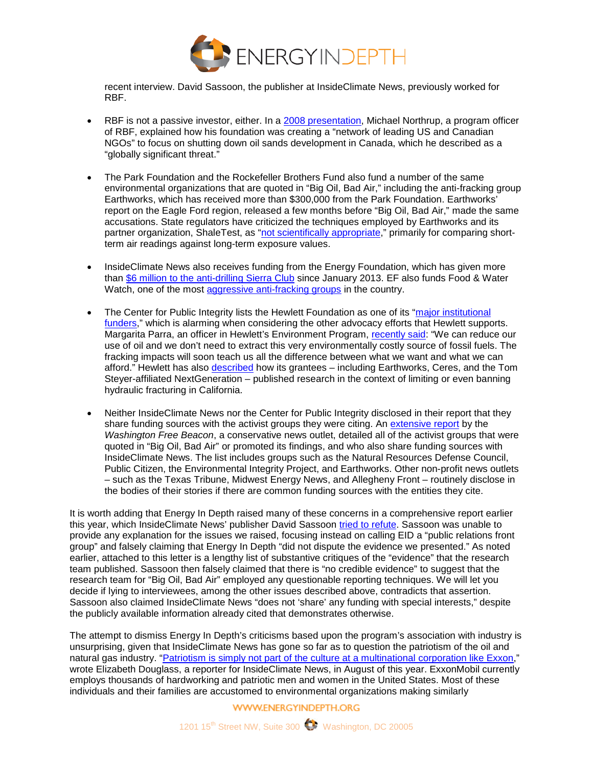

recent interview. David Sassoon, the publisher at InsideClimate News, previously worked for RBF.

- RBF is not a passive investor, either. In a [2008 presentation,](http://www.scribd.com/doc/82144578/Tar-Sands-Presentation-July-2008) Michael Northrup, a program officer of RBF, explained how his foundation was creating a "network of leading US and Canadian NGOs" to focus on shutting down oil sands development in Canada, which he described as a "globally significant threat."
- The Park Foundation and the Rockefeller Brothers Fund also fund a number of the same environmental organizations that are quoted in "Big Oil, Bad Air," including the anti-fracking group Earthworks, which has received more than \$300,000 from the Park Foundation. Earthworks' report on the Eagle Ford region, released a few months before "Big Oil, Bad Air," made the same accusations. State regulators have criticized the techniques employed by Earthworks and its partner organization, ShaleTest, as ["not scientifically appropriate,](http://www.star-telegram.com/2013/01/23/4570536/benzene-levels-at-fort-worth-dish.html?rh=1)" primarily for comparing shortterm air readings against long-term exposure values.
- InsideClimate News also receives funding from the Energy Foundation, which has given more than [\\$6 million to the anti-drilling Sierra Club](http://www.ef.org/grants-database/) since January 2013. EF also funds Food & Water Watch, one of the most [aggressive anti-fracking groups](http://www.foodandwaterwatch.org/factsheet/ban-fracking-now/) in the country.
- The Center for Public Integrity lists the Hewlett Foundation as one of its "major institutional [funders,](http://www.publicintegrity.org/about/our-work/supporters)" which is alarming when considering the other advocacy efforts that Hewlett supports. Margarita Parra, an officer in Hewlett's Environment Program, [recently said:](http://www.hewlett.org/blog/posts/oil-rich-water-poor) "We can reduce our use of oil and we don't need to extract this very environmentally costly source of fossil fuels. The fracking impacts will soon teach us all the difference between what we want and what we can afford." Hewlett has also [described](http://www.hewlett.org/blog/posts/oil-rich-water-poor) how its grantees – including Earthworks, Ceres, and the Tom Steyer-affiliated NextGeneration – published research in the context of limiting or even banning hydraulic fracturing in California.
- Neither InsideClimate News nor the Center for Public Integrity disclosed in their report that they share funding sources with the activist groups they were citing. An [extensive report](http://freebeacon.com/issues/environmentalist-foundations-fund-anti-fossil-fuel-echo-chamber/) by the *Washington Free Beacon*, a conservative news outlet, detailed all of the activist groups that were quoted in "Big Oil, Bad Air" or promoted its findings, and who also share funding sources with InsideClimate News. The list includes groups such as the Natural Resources Defense Council, Public Citizen, the Environmental Integrity Project, and Earthworks. Other non-profit news outlets – such as the Texas Tribune, Midwest Energy News, and Allegheny Front – routinely disclose in the bodies of their stories if there are common funding sources with the entities they cite.

It is worth adding that Energy In Depth raised many of these concerns in a comprehensive report earlier this year, which InsideClimate News' publisher David Sassoon [tried to refute.](http://insideclimatenews.org/news/20140729/insideclimate-news-responds-steve-everley-energy-depth) Sassoon was unable to provide any explanation for the issues we raised, focusing instead on calling EID a "public relations front group" and falsely claiming that Energy In Depth "did not dispute the evidence we presented." As noted earlier, attached to this letter is a lengthy list of substantive critiques of the "evidence" that the research team published. Sassoon then falsely claimed that there is "no credible evidence" to suggest that the research team for "Big Oil, Bad Air" employed any questionable reporting techniques. We will let you decide if lying to interviewees, among the other issues described above, contradicts that assertion. Sassoon also claimed InsideClimate News "does not 'share' any funding with special interests," despite the publicly available information already cited that demonstrates otherwise.

The attempt to dismiss Energy In Depth's criticisms based upon the program's association with industry is unsurprising, given that InsideClimate News has gone so far as to question the patriotism of the oil and natural gas industry. ["Patriotism is simply not part of the culture at a multinational corporation like Exxon,](http://insideclimatenews.org/news/20140827/deepening-ties-between-exxon-and-russia-run-counter-us-efforts-punish-putin)" wrote Elizabeth Douglass, a reporter for InsideClimate News, in August of this year. ExxonMobil currently employs thousands of hardworking and patriotic men and women in the United States. Most of these individuals and their families are accustomed to environmental organizations making similarly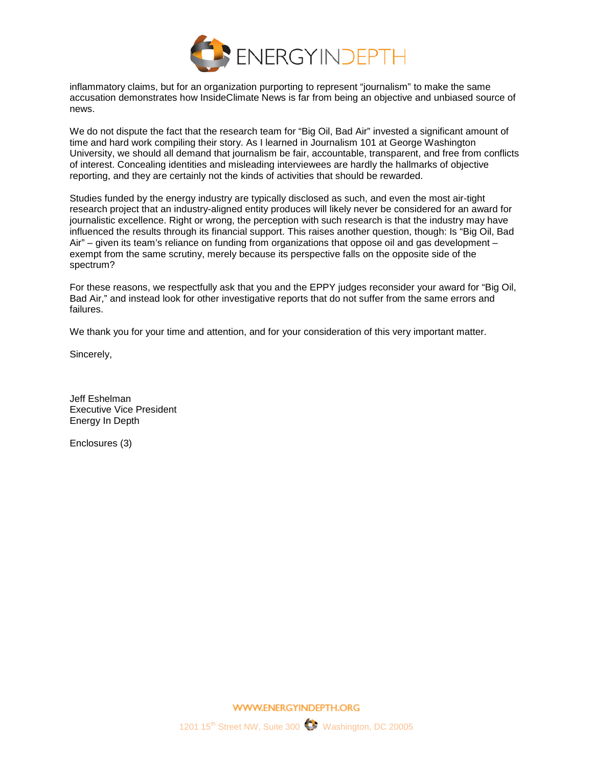

inflammatory claims, but for an organization purporting to represent "journalism" to make the same accusation demonstrates how InsideClimate News is far from being an objective and unbiased source of news.

We do not dispute the fact that the research team for "Big Oil, Bad Air" invested a significant amount of time and hard work compiling their story. As I learned in Journalism 101 at George Washington University, we should all demand that journalism be fair, accountable, transparent, and free from conflicts of interest. Concealing identities and misleading interviewees are hardly the hallmarks of objective reporting, and they are certainly not the kinds of activities that should be rewarded.

Studies funded by the energy industry are typically disclosed as such, and even the most air-tight research project that an industry-aligned entity produces will likely never be considered for an award for journalistic excellence. Right or wrong, the perception with such research is that the industry may have influenced the results through its financial support. This raises another question, though: Is "Big Oil, Bad Air" – given its team's reliance on funding from organizations that oppose oil and gas development – exempt from the same scrutiny, merely because its perspective falls on the opposite side of the spectrum?

For these reasons, we respectfully ask that you and the EPPY judges reconsider your award for "Big Oil, Bad Air," and instead look for other investigative reports that do not suffer from the same errors and failures.

We thank you for your time and attention, and for your consideration of this very important matter.

Sincerely,

Jeff Eshelman Executive Vice President Energy In Depth

Enclosures (3)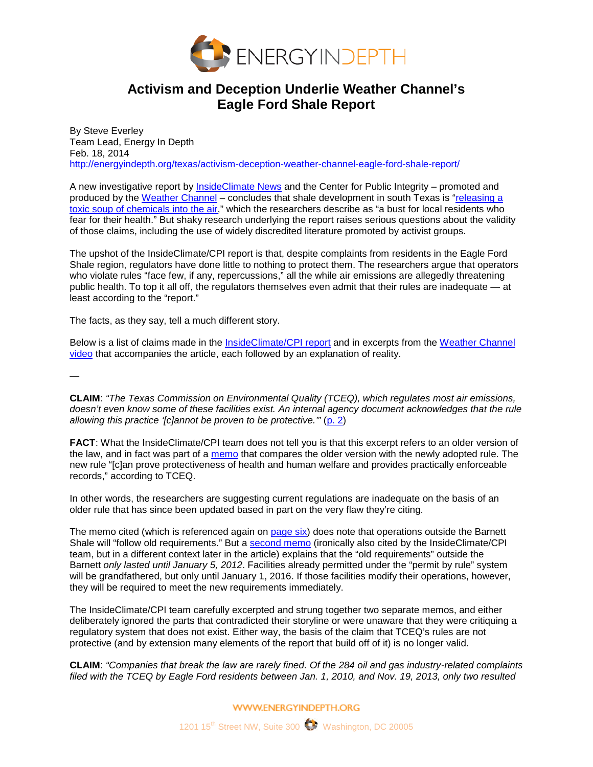

# **Activism and Deception Underlie Weather Channel's Eagle Ford Shale Report**

By Steve Everley Team Lead, Energy In Depth Feb. 18, 2014 <http://energyindepth.org/texas/activism-deception-weather-channel-eagle-ford-shale-report/>

A new investigative report by [InsideClimate News](http://insideclimatenews.org/news/20140218/fracking-boom-spews-toxic-air-emissions-texas-residents) and the Center for Public Integrity – promoted and produced by the [Weather Channel](http://stories.weather.com/fracking) – concludes that shale development in south Texas is ["releasing a](http://insideclimatenews.org/news/20140218/fracking-eagle-ford-shale-big-oil-bad-air-texas-prairie-multimedia)  [toxic soup of chemicals into the air,](http://insideclimatenews.org/news/20140218/fracking-eagle-ford-shale-big-oil-bad-air-texas-prairie-multimedia)" which the researchers describe as "a bust for local residents who fear for their health." But shaky research underlying the report raises serious questions about the validity of those claims, including the use of widely discredited literature promoted by activist groups.

The upshot of the InsideClimate/CPI report is that, despite complaints from residents in the Eagle Ford Shale region, regulators have done little to nothing to protect them. The researchers argue that operators who violate rules "face few, if any, repercussions," all the while air emissions are allegedly threatening public health. To top it all off, the regulators themselves even admit that their rules are inadequate — at least according to the "report."

The facts, as they say, tell a much different story.

Below is a list of claims made in the [InsideClimate/CPI report](http://insideclimatenews.org/news/20140218/fracking-boom-spews-toxic-air-emissions-texas-residents) and in excerpts from the [Weather Channel](http://stories.weather.com/fracking)  [video](http://stories.weather.com/fracking) that accompanies the article, each followed by an explanation of reality.

—

**CLAIM**: *"The Texas Commission on Environmental Quality (TCEQ), which regulates most air emissions, doesn't even know some of these facilities exist. An internal agency document acknowledges that the rule allowing this practice '[c]annot be proven to be protective.'"* [\(p. 2\)](http://insideclimatenews.org/news/20140218/fracking-boom-spews-toxic-air-emissions-texas-residents?page=2)

**FACT**: What the InsideClimate/CPI team does not tell you is that this excerpt refers to an older version of the law, and in fact was part of a [memo](https://www.documentcloud.org/documents/1013704-buehrings-covar-memo.html) that compares the older version with the newly adopted rule. The new rule "[c]an prove protectiveness of health and human welfare and provides practically enforceable records," according to TCEQ.

In other words, the researchers are suggesting current regulations are inadequate on the basis of an older rule that has since been updated based in part on the very flaw they're citing.

The memo cited (which is referenced again on [page six\)](http://insideclimatenews.org/news/20140218/fracking-boom-spews-toxic-air-emissions-texas-residents?page=6) does note that operations outside the Barnett Shale will "follow old requirements." But a [second memo](https://www.documentcloud.org/documents/1013709-buehrings-tceqhydememo.html) (ironically also cited by the InsideClimate/CPI team, but in a different context later in the article) explains that the "old requirements" outside the Barnett *only lasted until January 5, 2012*. Facilities already permitted under the "permit by rule" system will be grandfathered, but only until January 1, 2016. If those facilities modify their operations, however, they will be required to meet the new requirements immediately.

The InsideClimate/CPI team carefully excerpted and strung together two separate memos, and either deliberately ignored the parts that contradicted their storyline or were unaware that they were critiquing a regulatory system that does not exist. Either way, the basis of the claim that TCEQ's rules are not protective (and by extension many elements of the report that build off of it) is no longer valid.

**CLAIM**: *"Companies that break the law are rarely fined. Of the 284 oil and gas industry-related complaints filed with the TCEQ by Eagle Ford residents between Jan. 1, 2010, and Nov. 19, 2013, only two resulted*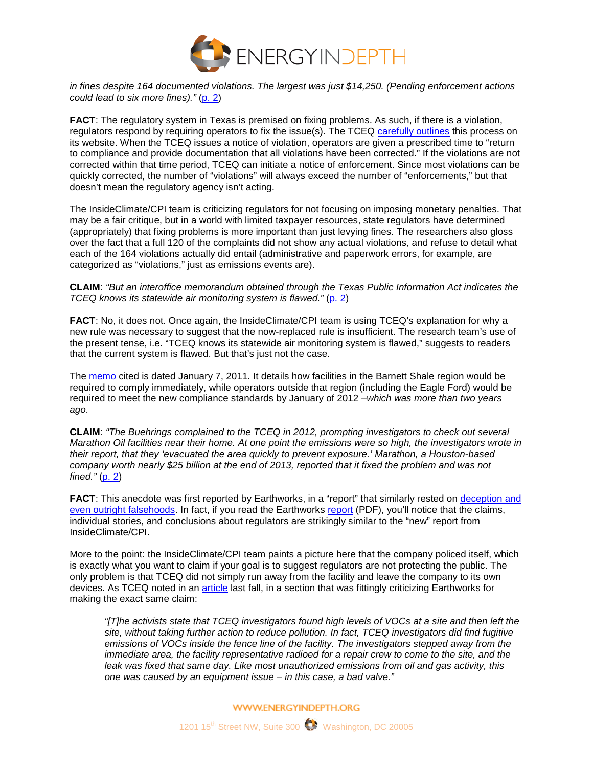

*in fines despite 164 documented violations. The largest was just \$14,250. (Pending enforcement actions could lead to six more fines)."* [\(p. 2\)](http://insideclimatenews.org/news/20140218/fracking-boom-spews-toxic-air-emissions-texas-residents?page=2)

**FACT**: The regulatory system in Texas is premised on fixing problems. As such, if there is a violation, regulators respond by requiring operators to fix the issue(s). The TCEQ [carefully outlines](http://www.tceq.state.tx.us/enforcement/process.html) this process on its website. When the TCEQ issues a notice of violation, operators are given a prescribed time to "return to compliance and provide documentation that all violations have been corrected." If the violations are not corrected within that time period, TCEQ can initiate a notice of enforcement. Since most violations can be quickly corrected, the number of "violations" will always exceed the number of "enforcements," but that doesn't mean the regulatory agency isn't acting.

The InsideClimate/CPI team is criticizing regulators for not focusing on imposing monetary penalties. That may be a fair critique, but in a world with limited taxpayer resources, state regulators have determined (appropriately) that fixing problems is more important than just levying fines. The researchers also gloss over the fact that a full 120 of the complaints did not show any actual violations, and refuse to detail what each of the 164 violations actually did entail (administrative and paperwork errors, for example, are categorized as "violations," just as emissions events are).

**CLAIM**: *"But an interoffice memorandum obtained through the Texas Public Information Act indicates the TCEQ knows its statewide air monitoring system is flawed."* [\(p. 2\)](http://insideclimatenews.org/news/20140218/fracking-boom-spews-toxic-air-emissions-texas-residents?page=2)

**FACT**: No, it does not. Once again, the InsideClimate/CPI team is using TCEQ's explanation for why a new rule was necessary to suggest that the now-replaced rule is insufficient. The research team's use of the present tense, i.e. "TCEQ knows its statewide air monitoring system is flawed," suggests to readers that the current system is flawed. But that's just not the case.

The [memo](https://www.documentcloud.org/documents/1013709-buehrings-tceqhydememo.html) cited is dated January 7, 2011. It details how facilities in the Barnett Shale region would be required to comply immediately, while operators outside that region (including the Eagle Ford) would be required to meet the new compliance standards by January of 2012 –*which was more than two years ago*.

**CLAIM**: *"The Buehrings complained to the TCEQ in 2012, prompting investigators to check out several Marathon Oil facilities near their home. At one point the emissions were so high, the investigators wrote in their report, that they 'evacuated the area quickly to prevent exposure.' Marathon, a Houston-based company worth nearly \$25 billion at the end of 2013, reported that it fixed the problem and was not fined."* [\(p. 2\)](http://insideclimatenews.org/news/20140218/fracking-boom-spews-toxic-air-emissions-texas-residents?page=2)

**FACT:** This anecdote was first reported by Earthworks, in a "report" that similarly rested on deception and [even outright falsehoods.](http://energyindepth.org/texas/earthworks-flawed-eagle-ford-study-is-more-of-the-same/) In fact, if you read the Earthworks [report](http://www.earthworksaction.org/files/publications/FULL-RecklessEndangerment-sm.pdf) (PDF), you'll notice that the claims, individual stories, and conclusions about regulators are strikingly similar to the "new" report from InsideClimate/CPI.

More to the point: the InsideClimate/CPI team paints a picture here that the company policed itself, which is exactly what you want to claim if your goal is to suggest regulators are not protecting the public. The only problem is that TCEQ did not simply run away from the facility and leave the company to its own devices. As TCEQ noted in an [article](http://www.tceq.texas.gov/assets/public/comm_exec/pubs/pd/020/2013/Outlook-Nov-2013-x.pdf) last fall, in a section that was fittingly criticizing Earthworks for making the exact same claim:

*"[T]he activists state that TCEQ investigators found high levels of VOCs at a site and then left the site, without taking further action to reduce pollution. In fact, TCEQ investigators did find fugitive emissions of VOCs inside the fence line of the facility. The investigators stepped away from the immediate area, the facility representative radioed for a repair crew to come to the site, and the leak was fixed that same day. Like most unauthorized emissions from oil and gas activity, this one was caused by an equipment issue – in this case, a bad valve."*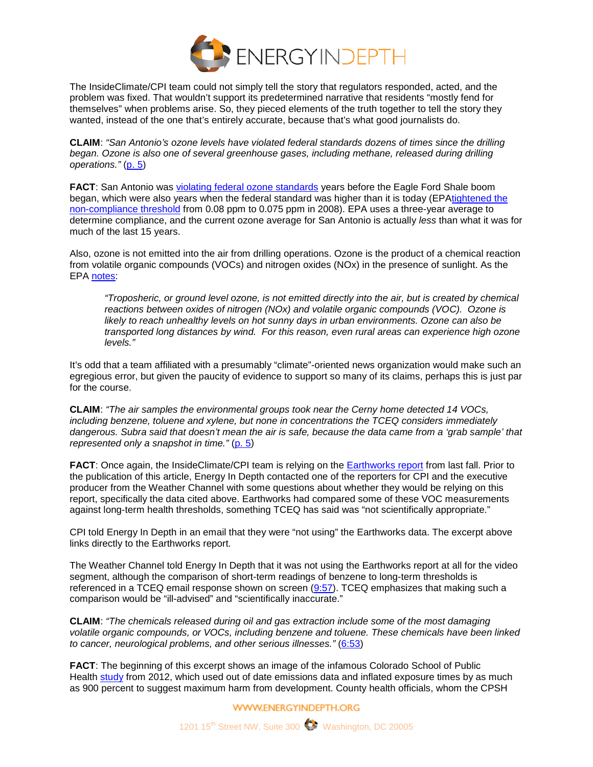

The InsideClimate/CPI team could not simply tell the story that regulators responded, acted, and the problem was fixed. That wouldn't support its predetermined narrative that residents "mostly fend for themselves" when problems arise. So, they pieced elements of the truth together to tell the story they wanted, instead of the one that's entirely accurate, because that's what good journalists do.

**CLAIM**: *"San Antonio's ozone levels have violated federal standards dozens of times since the drilling began. Ozone is also one of several greenhouse gases, including methane, released during drilling operations."* [\(p. 5\)](http://insideclimatenews.org/news/20140218/fracking-boom-spews-toxic-air-emissions-texas-residents?page=5)

**FACT:** San Antonio was [violating federal ozone standards](http://www.tceq.state.tx.us/cgi-bin/compliance/monops/8hr_attainment.pl) years before the Eagle Ford Shale boom began, which were also years when the federal standard was higher than it is today (EP[Atightened the](http://www.epa.gov/air/criteria.html)  [non-compliance threshold](http://www.epa.gov/air/criteria.html) from 0.08 ppm to 0.075 ppm in 2008). EPA uses a three-year average to determine compliance, and the current ozone average for San Antonio is actually *less* than what it was for much of the last 15 years.

Also, ozone is not emitted into the air from drilling operations. Ozone is the product of a chemical reaction from volatile organic compounds (VOCs) and nitrogen oxides (NOx) in the presence of sunlight. As the EPA [notes:](http://www.epa.gov/airquality/ozonepollution/basic.html)

*"Troposheric, or ground level ozone, is not emitted directly into the air, but is created by chemical reactions between oxides of nitrogen (NOx) and volatile organic compounds (VOC). Ozone is likely to reach unhealthy levels on hot sunny days in urban environments. Ozone can also be transported long distances by wind. For this reason, even rural areas can experience high ozone levels."*

It's odd that a team affiliated with a presumably "climate"-oriented news organization would make such an egregious error, but given the paucity of evidence to support so many of its claims, perhaps this is just par for the course.

**CLAIM**: *"The air samples the environmental groups took near the Cerny home detected 14 VOCs, including benzene, toluene and xylene, but none in concentrations the TCEQ considers immediately dangerous. Subra said that doesn't mean the air is safe, because the data came from a 'grab sample' that represented only a snapshot in time."* [\(p. 5\)](http://insideclimatenews.org/news/20140218/fracking-boom-spews-toxic-air-emissions-texas-residents?page=5)

**FACT**: Once again, the InsideClimate/CPI team is relying on the [Earthworks report](http://www.earthworksaction.org/files/publications/FULL-RecklessEndangerment-sm.pdf) from last fall. Prior to the publication of this article, Energy In Depth contacted one of the reporters for CPI and the executive producer from the Weather Channel with some questions about whether they would be relying on this report, specifically the data cited above. Earthworks had compared some of these VOC measurements against long-term health thresholds, something TCEQ has said was "not scientifically appropriate."

CPI told Energy In Depth in an email that they were "not using" the Earthworks data. The excerpt above links directly to the Earthworks report.

The Weather Channel told Energy In Depth that it was not using the Earthworks report at all for the video segment, although the comparison of short-term readings of benzene to long-term thresholds is referenced in a TCEQ email response shown on screen [\(9:57\)](http://stories.weather.com/fracking). TCEQ emphasizes that making such a comparison would be "ill-advised" and "scientifically inaccurate."

**CLAIM**: *"The chemicals released during oil and gas extraction include some of the most damaging volatile organic compounds, or VOCs, including benzene and toluene. These chemicals have been linked to cancer, neurological problems, and other serious illnesses."* [\(6:53\)](http://stories.weather.com/fracking)

**FACT**: The beginning of this excerpt shows an image of the infamous Colorado School of Public Health [study](http://energyindepth.org/mtn-states/non-elite-eight-worst-inputs-used-in-new-colorado-health-study-2/) from 2012, which used out of date emissions data and inflated exposure times by as much as 900 percent to suggest maximum harm from development. County health officials, whom the CPSH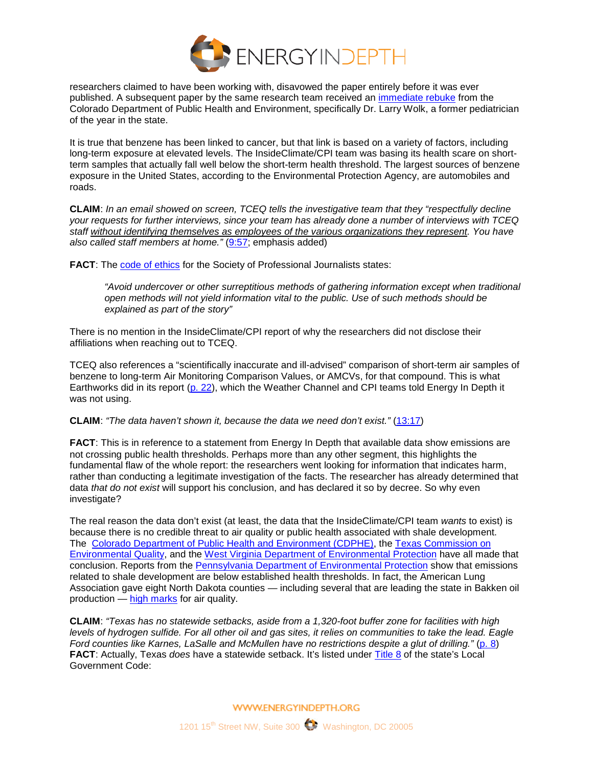

researchers claimed to have been working with, disavowed the paper entirely before it was ever published. A subsequent paper by the same research team received an [immediate rebuke](http://energyindepth.org/mtn-states/colorado-health-department-disavows-activists-favorite-fracking-researchers/) from the Colorado Department of Public Health and Environment, specifically Dr. Larry Wolk, a former pediatrician of the year in the state.

It is true that benzene has been linked to cancer, but that link is based on a variety of factors, including long-term exposure at elevated levels. The InsideClimate/CPI team was basing its health scare on shortterm samples that actually fall well below the short-term health threshold. The largest sources of benzene exposure in the United States, according to the Environmental Protection Agency, are automobiles and roads.

**CLAIM**: *In an email showed on screen, TCEQ tells the investigative team that they "respectfully decline your requests for further interviews, since your team has already done a number of interviews with TCEQ staff without identifying themselves as employees of the various organizations they represent. You have also called staff members at home."* [\(9:57;](http://stories.weather.com/fracking) emphasis added)

**FACT:** The [code of ethics](http://www.spj.org/ethicscode.asp) for the Society of Professional Journalists states:

*"Avoid undercover or other surreptitious methods of gathering information except when traditional open methods will not yield information vital to the public. Use of such methods should be explained as part of the story"*

There is no mention in the InsideClimate/CPI report of why the researchers did not disclose their affiliations when reaching out to TCEQ.

TCEQ also references a "scientifically inaccurate and ill-advised" comparison of short-term air samples of benzene to long-term Air Monitoring Comparison Values, or AMCVs, for that compound. This is what Earthworks did in its report [\(p. 22\)](http://www.earthworksaction.org/files/publications/FULL-RecklessEndangerment-sm.pdf), which the Weather Channel and CPI teams told Energy In Depth it was not using.

### **CLAIM**: *"The data haven't shown it, because the data we need don't exist."* [\(13:17\)](http://stories.weather.com/fracking)

**FACT:** This is in reference to a statement from Energy In Depth that available data show emissions are not crossing public health thresholds. Perhaps more than any other segment, this highlights the fundamental flaw of the whole report: the researchers went looking for information that indicates harm, rather than conducting a legitimate investigation of the facts. The researcher has already determined that data *that do not exist* will support his conclusion, and has declared it so by decree. So why even investigate?

The real reason the data don't exist (at least, the data that the InsideClimate/CPI team *wants* to exist) is because there is no credible threat to air quality or public health associated with shale development. The [Colorado Department of Public Health and Environment \(CDPHE\),](http://www.colorado.gov/airquality/tech_doc_repository.aspx?action=open&file=Erie_Air_Emissions_Case_Study_2012.pdf) the Texas Commission on [Environmental Quality,](http://www.tceq.state.tx.us/publications/pd/020/10-04/a-commitment-to-air-quality-in-the-barnett-shale) and the [West Virginia Department of Environmental Protection](http://energyindepth.org/marcellus/west-virginia-state-report-no-major-health-threat-from-shale/) have all made that conclusion. Reports from the [Pennsylvania Department of Environmental Protection](http://files.dep.state.pa.us/OilGas/BOGM/BOGMPortalFiles/Air/Marcellus_SW_11-01-10.pdf) show that emissions related to shale development are below established health thresholds. In fact, the American Lung Association gave eight North Dakota counties — including several that are leading the state in Bakken oil production — [high marks](http://www.lung.org/associations/states/north-dakota/news/american-lung-association.html) for air quality.

**CLAIM**: *"Texas has no statewide setbacks, aside from a 1,320-foot buffer zone for facilities with high levels of hydrogen sulfide. For all other oil and gas sites, it relies on communities to take the lead. Eagle Ford counties like Karnes, LaSalle and McMullen have no restrictions despite a glut of drilling."* [\(p. 8\)](http://insideclimatenews.org/news/20140218/fracking-boom-spews-toxic-air-emissions-texas-residents?page=8) **FACT**: Actually, Texas *does* have a statewide setback. It's listed under [Title 8](http://www.statutes.legis.state.tx.us/Docs/LG/htm/LG.253.htm) of the state's Local Government Code: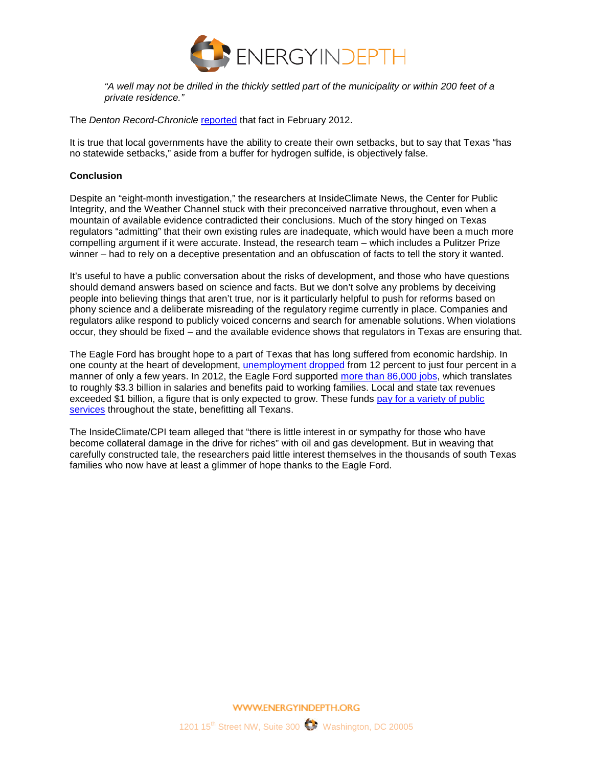

*"A well may not be drilled in the thickly settled part of the municipality or within 200 feet of a private residence."*

The *Denton Record-Chronicle* [reported](http://www.dentonrc.com/local-news/local-news-headlines/20120211-stuck-in-the-middle.ece) that fact in February 2012.

It is true that local governments have the ability to create their own setbacks, but to say that Texas "has no statewide setbacks," aside from a buffer for hydrogen sulfide, is objectively false.

### **Conclusion**

Despite an "eight-month investigation," the researchers at InsideClimate News, the Center for Public Integrity, and the Weather Channel stuck with their preconceived narrative throughout, even when a mountain of available evidence contradicted their conclusions. Much of the story hinged on Texas regulators "admitting" that their own existing rules are inadequate, which would have been a much more compelling argument if it were accurate. Instead, the research team – which includes a Pulitzer Prize winner – had to rely on a deceptive presentation and an obfuscation of facts to tell the story it wanted.

It's useful to have a public conversation about the risks of development, and those who have questions should demand answers based on science and facts. But we don't solve any problems by deceiving people into believing things that aren't true, nor is it particularly helpful to push for reforms based on phony science and a deliberate misreading of the regulatory regime currently in place. Companies and regulators alike respond to publicly voiced concerns and search for amenable solutions. When violations occur, they should be fixed – and the available evidence shows that regulators in Texas are ensuring that.

The Eagle Ford has brought hope to a part of Texas that has long suffered from economic hardship. In one county at the heart of development, [unemployment dropped](http://www.latimes.com/nation/la-na-texas-oil-boom-20140216,0,1444161,full.story#axzz2tYmmRyAF) from 12 percent to just four percent in a manner of only a few years. In 2012, the Eagle Ford supported [more than 86,000 jobs,](http://www.rigzone.com/news/oil_gas/a/125383/Eagle_Ford_Impact_on_South_Texas_to_Keep_Growing) which translates to roughly \$3.3 billion in salaries and benefits paid to working families. Local and state tax revenues exceeded \$1 billion, a figure that is only expected to grow. These funds pay for a variety of public [services](http://energyindepth.org/texas/oil-and-gas-account-for-one-out-of-every-six-dollars-paid-into-the-texas-treasury/) throughout the state, benefitting all Texans.

The InsideClimate/CPI team alleged that "there is little interest in or sympathy for those who have become collateral damage in the drive for riches" with oil and gas development. But in weaving that carefully constructed tale, the researchers paid little interest themselves in the thousands of south Texas families who now have at least a glimmer of hope thanks to the Eagle Ford.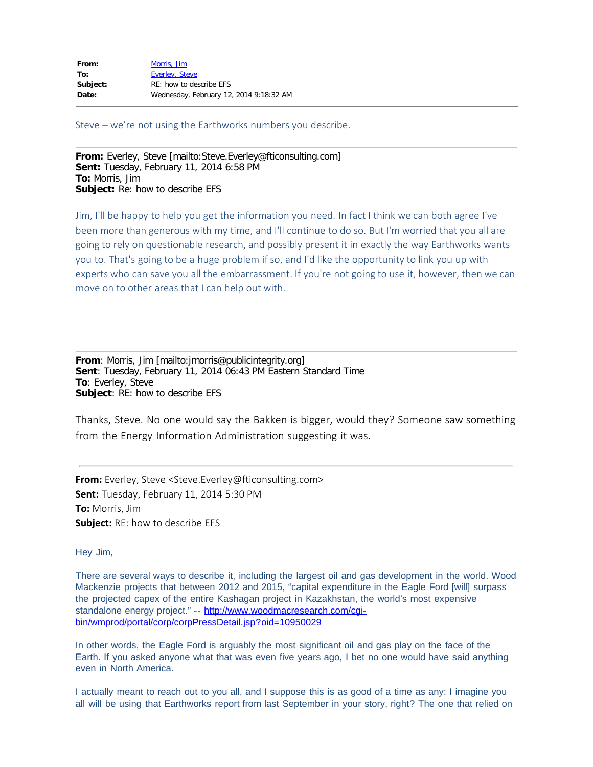| From:    | Morris, Jim                             |
|----------|-----------------------------------------|
| To:      | Everley, Steve                          |
| Subject: | RE: how to describe EFS                 |
| Date:    | Wednesday, February 12, 2014 9:18:32 AM |

Steve – we're not using the Earthworks numbers you describe.

**From:** Everley, Steve [mailto:Steve.Everley@fticonsulting.com] **Sent:** Tuesday, February 11, 2014 6:58 PM **To:** Morris, Jim **Subject:** Re: how to describe EFS

Jim, I'll be happy to help you get the information you need. In fact I think we can both agree I've been more than generous with my time, and I'll continue to do so. But I'm worried that you all are going to rely on questionable research, and possibly present it in exactly the way Earthworks wants you to. That's going to be a huge problem if so, and I'd like the opportunity to link you up with experts who can save you all the embarrassment. If you're not going to use it, however, then we can move on to other areas that I can help out with.

**From**: Morris, Jim [mailto:jmorris@publicintegrity.org] **Sent**: Tuesday, February 11, 2014 06:43 PM Eastern Standard Time **To**: Everley, Steve **Subject**: RE: how to describe EFS

Thanks, Steve. No one would say the Bakken is bigger, would they? Someone saw something from the Energy Information Administration suggesting it was.

**From:** Everley, Steve <Steve.Everley@fticonsulting.com> **Sent:** Tuesday, February 11, 2014 5:30 PM **To:** Morris, Jim **Subject:** RE: how to describe EFS

Hey Jim,

There are several ways to describe it, including the largest oil and gas development in the world. Wood Mackenzie projects that between 2012 and 2015, "capital expenditure in the Eagle Ford [will] surpass the projected capex of the entire Kashagan project in Kazakhstan, the world's most expensive standalone energy project." -- [http://www.woodmacresearch.com/cgi](http://www.woodmacresearch.com/cgi-bin/wmprod/portal/corp/corpPressDetail.jsp?oid=10950029)[bin/wmprod/portal/corp/corpPressDetail.jsp?oid=10950029](http://www.woodmacresearch.com/cgi-bin/wmprod/portal/corp/corpPressDetail.jsp?oid=10950029)

In other words, the Eagle Ford is arguably the most significant oil and gas play on the face of the Earth. If you asked anyone what that was even five years ago, I bet no one would have said anything even in North America.

I actually meant to reach out to you all, and I suppose this is as good of a time as any: I imagine you all will be using that Earthworks report from last September in your story, right? The one that relied on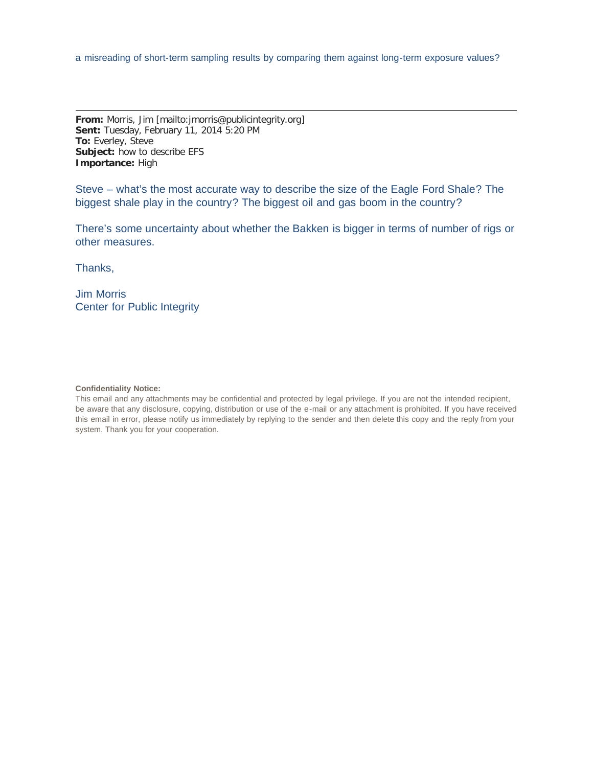**From:** Morris, Jim [mailto:jmorris@publicintegrity.org] **Sent:** Tuesday, February 11, 2014 5:20 PM **To:** Everley, Steve **Subject:** how to describe EFS **Importance:** High

Steve – what's the most accurate way to describe the size of the Eagle Ford Shale? The biggest shale play in the country? The biggest oil and gas boom in the country?

There's some uncertainty about whether the Bakken is bigger in terms of number of rigs or other measures.

Thanks,

Jim Morris Center for Public Integrity

#### **Confidentiality Notice:**

This email and any attachments may be confidential and protected by legal privilege. If you are not the intended recipient, be aware that any disclosure, copying, distribution or use of the e-mail or any attachment is prohibited. If you have received this email in error, please notify us immediately by replying to the sender and then delete this copy and the reply from your system. Thank you for your cooperation.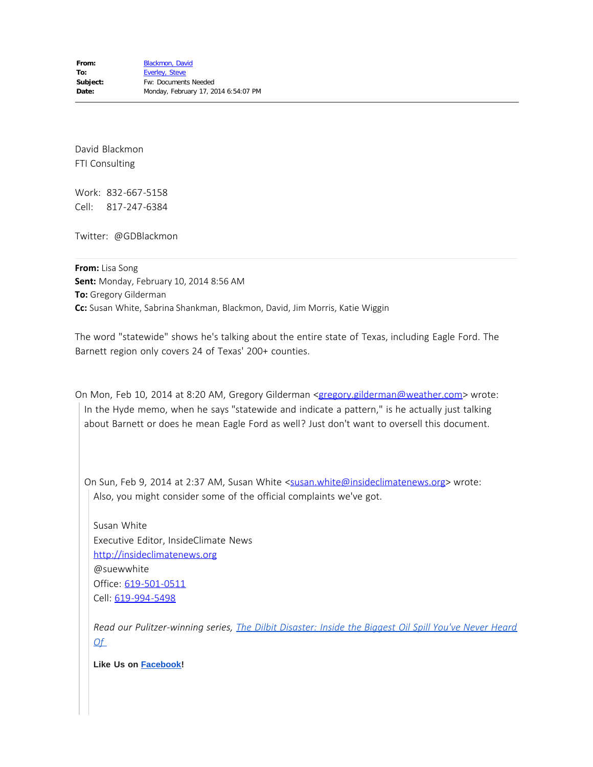David Blackmon FTI Consulting

Work: 832-667-5158 Cell: 817-247-6384

Twitter: @GDBlackmon

**From:** Lisa Song **Sent:** Monday, February 10, 2014 8:56 AM **To:** Gregory Gilderman **Cc:** Susan White, Sabrina Shankman, Blackmon, David, Jim Morris, Katie Wiggin

The word "statewide" shows he's talking about the entire state of Texas, including Eagle Ford. The Barnett region only covers 24 of Texas' 200+ counties.

On Mon, Feb 10, 2014 at 8:20 AM, Gregory Gilderman [<gregory.gilderman@weather.com>](mailto:gregory.gilderman@weather.com) wrote: In the Hyde memo, when he says "statewide and indicate a pattern," is he actually just talking about Barnett or does he mean Eagle Ford as well? Just don't want to oversell this document.

On Sun, Feb 9, 2014 at 2:37 AM, Susan White <[susan.white@insideclimatenews.org](mailto:susan.white@insideclimatenews.org)> wrote: Also, you might consider some of the official complaints we've got.

Susan White Executive Editor, InsideClimate News [http://insideclimatenews.org](http://insideclimatenews.org/author/susan-white) @suewwhite Office: [619-501-0511](tel:619-501-0511) Cell: [619-994-5498](tel:619-994-5498)

*Read our Pulitzer-winning series, [The Dilbit Disaster: Inside the Biggest Oil Spill You've Never Heard](http://insideclimatenews.org/topic/dilbit-disaster-series-2012) [Of](http://insideclimatenews.org/topic/dilbit-disaster-series-2012)*

**Like Us on [Facebook!](http://www.facebook.com/insideclimatenews)**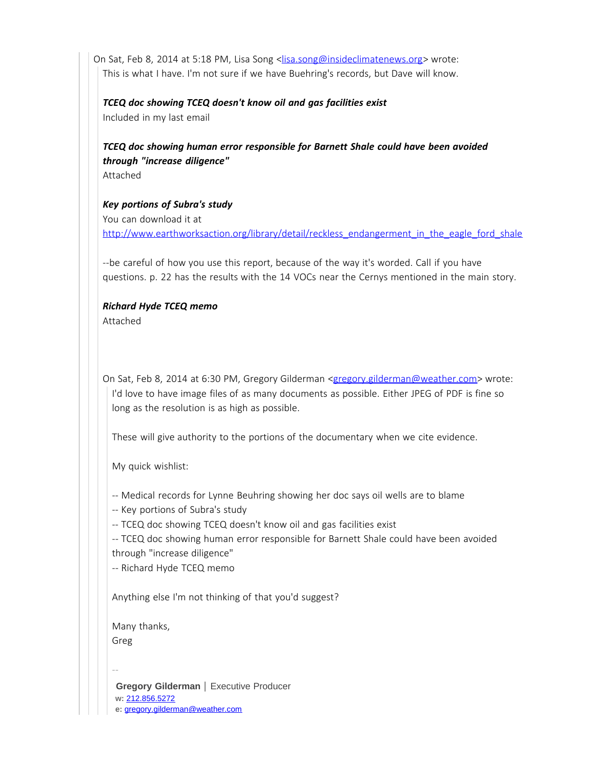On Sat, Feb 8, 2014 at 5:18 PM, Lisa Song <[lisa.song@insideclimatenews.org>](mailto:lisa.song@insideclimatenews.org) wrote: This is what I have. I'm not sure if we have Buehring's records, but Dave will know.

### *TCEQ doc showing TCEQ doesn't know oil and gas facilities exist*

Included in my last email

# *TCEQ doc showing human error responsible for Barnett Shale could have been avoided through "increase diligence"*

Attached

*Key portions of Subra's study* You can download it at [http://www.earthworksaction.org/library/detail/reckless\\_endangerment\\_in\\_the\\_eagle\\_ford\\_shale](http://www.earthworksaction.org/library/detail/reckless_endangerment_in_the_eagle_ford_shale)

--be careful of how you use this report, because of the way it's worded. Call if you have questions. p. 22 has the results with the 14 VOCs near the Cernys mentioned in the main story.

# *Richard Hyde TCEQ memo*

Attached

On Sat, Feb 8, 2014 at 6:30 PM, Gregory Gilderman [<gregory.gilderman@weather.com>](mailto:gregory.gilderman@weather.com) wrote: I'd love to have image files of as many documents as possible. Either JPEG of PDF is fine so long as the resolution is as high as possible.

These will give authority to the portions of the documentary when we cite evidence.

My quick wishlist:

- -- Medical records for Lynne Beuhring showing her doc says oil wells are to blame
- -- Key portions of Subra's study

-- TCEQ doc showing TCEQ doesn't know oil and gas facilities exist

-- TCEQ doc showing human error responsible for Barnett Shale could have been avoided through "increase diligence"

-- Richard Hyde TCEQ memo

Anything else I'm not thinking of that you'd suggest?

Many thanks, Greg

--

**Gregory Gilderman** | Executive Producer **w:** [212.856.5272](tel:212.856.5272) **e:** [gregory.gilderman@weather.com](mailto:gregory.gilderman@weather.com)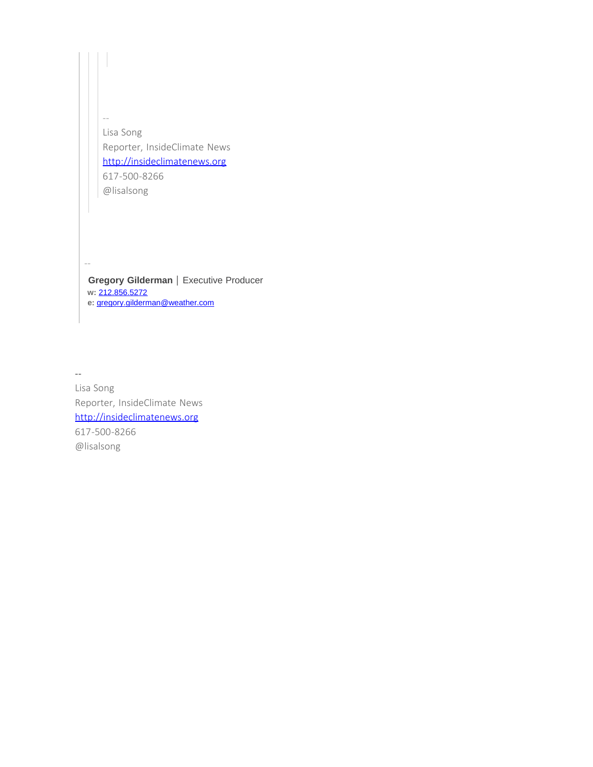-- Lisa Song Reporter, InsideClimate News [http://insideclimatenews.org](http://insideclimatenews.org/) 617-500-8266 @lisalsong

**Gregory Gilderman** | Executive Producer **w:** [212.856.5272](tel:212.856.5272) **e:** [gregory.gilderman@weather.com](mailto:gregory.gilderman@weather.com)

--

--

Lisa Song Reporter, InsideClimate News [http://insideclimatenews.org](http://insideclimatenews.org/) 617-500-8266 @lisalsong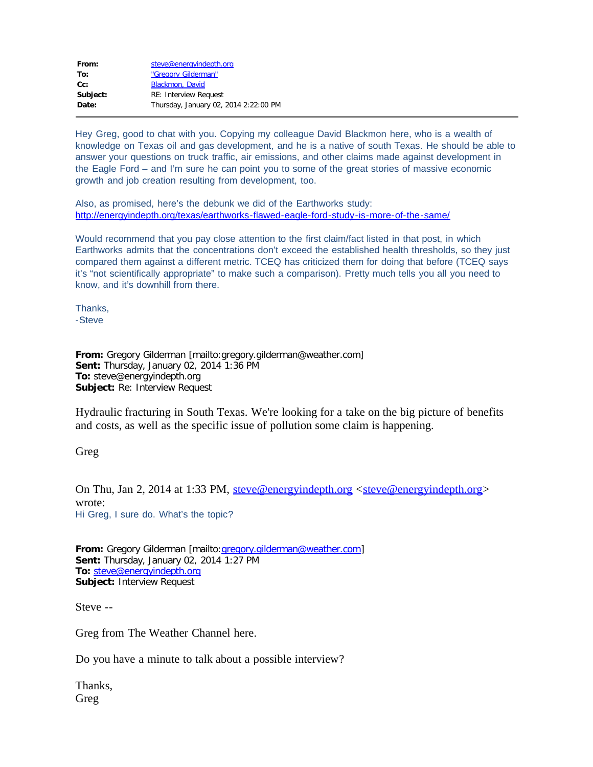| From:    | steve@energyindepth.org               |
|----------|---------------------------------------|
| To:      | "Gregory Gilderman"                   |
| $Cc$ :   | Blackmon, David                       |
| Subject: | <b>RE: Interview Request</b>          |
| Date:    | Thursday, January 02, 2014 2:22:00 PM |
|          |                                       |

Hey Greg, good to chat with you. Copying my colleague David Blackmon here, who is a wealth of knowledge on Texas oil and gas development, and he is a native of south Texas. He should be able to answer your questions on truck traffic, air emissions, and other claims made against development in the Eagle Ford – and I'm sure he can point you to some of the great stories of massive economic growth and job creation resulting from development, too.

Also, as promised, here's the debunk we did of the Earthworks study: <http://energyindepth.org/texas/earthworks-flawed-eagle-ford-study-is-more-of-the-same/>

Would recommend that you pay close attention to the first claim/fact listed in that post, in which Earthworks admits that the concentrations don't exceed the established health thresholds, so they just compared them against a different metric. TCEQ has criticized them for doing that before (TCEQ says it's "not scientifically appropriate" to make such a comparison). Pretty much tells you all you need to know, and it's downhill from there.

Thanks, -Steve

**From:** Gregory Gilderman [mailto:gregory.gilderman@weather.com] **Sent:** Thursday, January 02, 2014 1:36 PM **To:** steve@energyindepth.org **Subject:** Re: Interview Request

Hydraulic fracturing in South Texas. We're looking for a take on the big picture of benefits and costs, as well as the specific issue of pollution some claim is happening.

Greg

On Thu, Jan 2, 2014 at 1:33 PM, [steve@energyindepth.org](mailto:steve@energyindepth.org) <[steve@energyindepth.org>](mailto:steve@energyindepth.org) wrote: Hi Greg, I sure do. What's the topic?

**From:** Gregory Gilderman [mailto:[gregory.gilderman@weather.com\]](mailto:gregory.gilderman@weather.com) **Sent:** Thursday, January 02, 2014 1:27 PM **To:** [steve@energyindepth.org](mailto:steve@energyindepth.org) **Subject:** Interview Request

Steve --

Greg from The Weather Channel here.

Do you have a minute to talk about a possible interview?

Thanks, Greg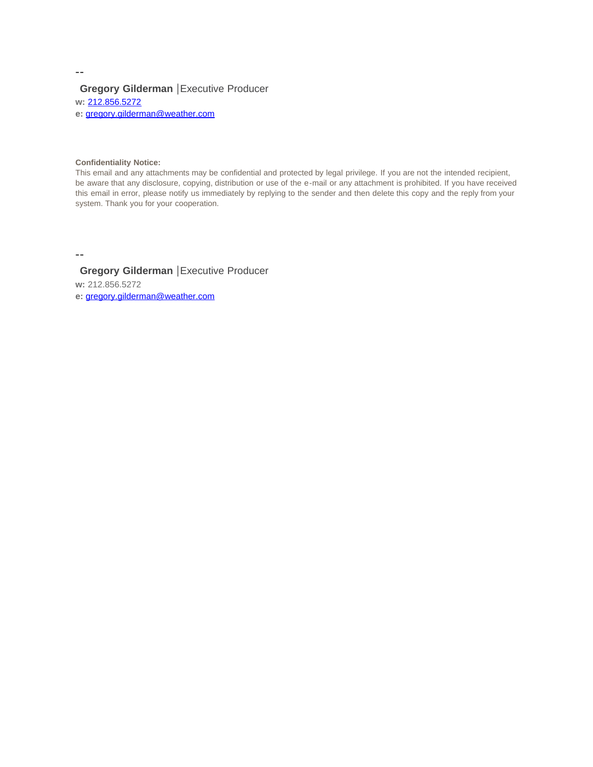### **Gregory Gilderman** |Executive Producer **w:** [212.856.5272](tel:212.856.5272)

**e:** [gregory.gilderman@weather.com](mailto:gregory.gilderman@weather.com)

#### **Confidentiality Notice:**

This email and any attachments may be confidential and protected by legal privilege. If you are not the intended recipient, be aware that any disclosure, copying, distribution or use of the e-mail or any attachment is prohibited. If you have received this email in error, please notify us immediately by replying to the sender and then delete this copy and the reply from your system. Thank you for your cooperation.

--

**Gregory Gilderman** |Executive Producer

**w:** 212.856.5272

**e:** [gregory.gilderman@weather.com](mailto:gregory.gilderman@weather.com)

--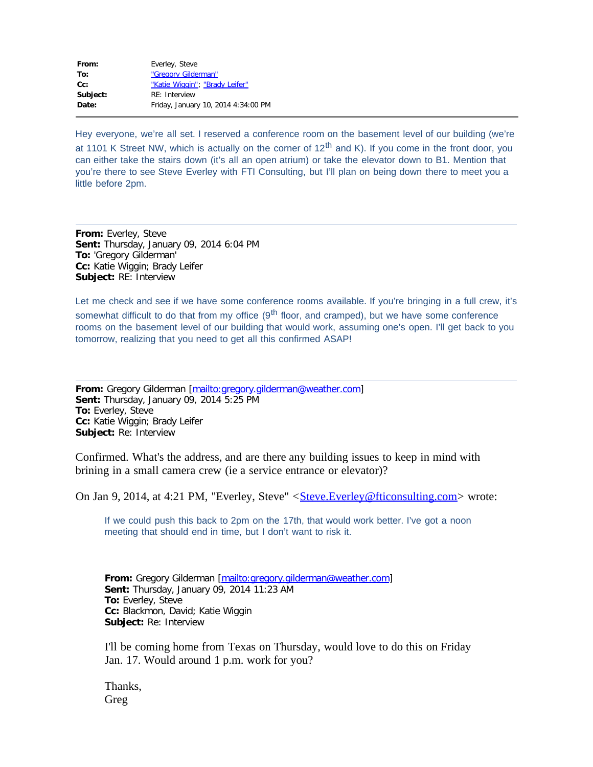| From:    | Everley, Steve                      |
|----------|-------------------------------------|
| To:      | "Gregory Gilderman"                 |
| $Cc$ :   | "Katie Wiggin"; "Brady Leifer"      |
| Subject: | RE: Interview                       |
| Date:    | Friday, January 10, 2014 4:34:00 PM |
|          |                                     |

Hey everyone, we're all set. I reserved a conference room on the basement level of our building (we're at 1101 K Street NW, which is actually on the corner of  $12<sup>th</sup>$  and K). If you come in the front door, you can either take the stairs down (it's all an open atrium) or take the elevator down to B1. Mention that you're there to see Steve Everley with FTI Consulting, but I'll plan on being down there to meet you a little before 2pm.

**From:** Everley, Steve **Sent:** Thursday, January 09, 2014 6:04 PM **To:** 'Gregory Gilderman' **Cc:** Katie Wiggin; Brady Leifer **Subject:** RE: Interview

Let me check and see if we have some conference rooms available. If you're bringing in a full crew, it's somewhat difficult to do that from my office (9<sup>th</sup> floor, and cramped), but we have some conference rooms on the basement level of our building that would work, assuming one's open. I'll get back to you tomorrow, realizing that you need to get all this confirmed ASAP!

**From:** Gregory Gilderman [<mailto:gregory.gilderman@weather.com>] **Sent:** Thursday, January 09, 2014 5:25 PM **To:** Everley, Steve **Cc:** Katie Wiggin; Brady Leifer **Subject:** Re: Interview

Confirmed. What's the address, and are there any building issues to keep in mind with brining in a small camera crew (ie a service entrance or elevator)?

On Jan 9, 2014, at 4:21 PM, "Everley, Steve" < Steve. Everley@fticonsulting.com > wrote:

If we could push this back to 2pm on the 17th, that would work better. I've got a noon meeting that should end in time, but I don't want to risk it.

**From:** Gregory Gilderman [<mailto:gregory.gilderman@weather.com>] **Sent:** Thursday, January 09, 2014 11:23 AM **To:** Everley, Steve **Cc:** Blackmon, David; Katie Wiggin **Subject:** Re: Interview

I'll be coming home from Texas on Thursday, would love to do this on Friday Jan. 17. Would around 1 p.m. work for you?

Thanks, Greg